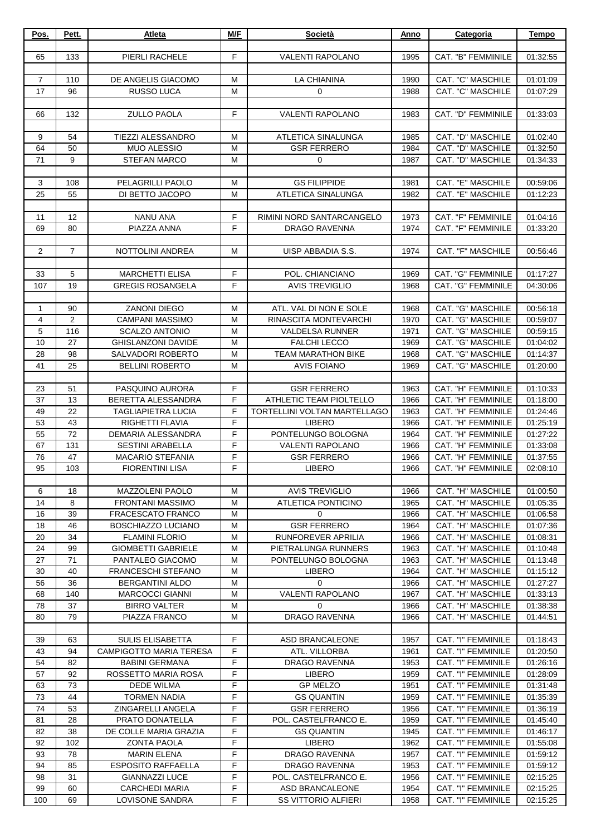| Pos.           | Pett.          | Atleta                            | M/F    | Società                                  | Anno         | Categoria                                | <b>Tempo</b>         |
|----------------|----------------|-----------------------------------|--------|------------------------------------------|--------------|------------------------------------------|----------------------|
|                |                |                                   |        |                                          |              |                                          |                      |
| 65             | 133            | PIERLI RACHELE                    | F      | <b>VALENTI RAPOLANO</b>                  | 1995         | CAT. "B" FEMMINILE                       | 01:32:55             |
|                |                |                                   |        |                                          |              |                                          |                      |
| $\overline{7}$ | 110            | DE ANGELIS GIACOMO                | М      | LA CHIANINA                              | 1990         | CAT. "C" MASCHILE                        | 01:01:09             |
| 17             | 96             | <b>RUSSO LUCA</b>                 | M      | $\mathbf 0$                              | 1988         | <b>CAT. "C" MASCHILE</b>                 | 01:07:29             |
|                | 132            | <b>ZULLO PAOLA</b>                | F      | <b>VALENTI RAPOLANO</b>                  | 1983         | CAT. "D" FEMMINILE                       |                      |
| 66             |                |                                   |        |                                          |              |                                          | 01:33:03             |
| 9              | 54             | TIEZZI ALESSANDRO                 | M      | ATLETICA SINALUNGA                       | 1985         | CAT. "D" MASCHILE                        | 01:02:40             |
| 64             | 50             | <b>MUO ALESSIO</b>                | М      | <b>GSR FERRERO</b>                       | 1984         | CAT. "D" MASCHILE                        | 01:32:50             |
| 71             | 9              | <b>STEFAN MARCO</b>               | М      | 0                                        | 1987         | CAT. "D" MASCHILE                        | 01:34:33             |
|                |                |                                   |        |                                          |              |                                          |                      |
| 3              | 108            | PELAGRILLI PAOLO                  | M      | <b>GS FILIPPIDE</b>                      | 1981         | CAT. "E" MASCHILE                        | 00:59:06             |
| 25             | 55             | DI BETTO JACOPO                   | M      | ATLETICA SINALUNGA                       | 1982         | CAT. "E" MASCHILE                        | 01:12:23             |
|                |                |                                   |        |                                          |              |                                          |                      |
| 11             | 12             | NANU ANA                          | F      | RIMINI NORD SANTARCANGELO                | 1973         | CAT. "F" FEMMINILE                       | 01:04:16             |
| 69             | 80             | PIAZZA ANNA                       | F      | <b>DRAGO RAVENNA</b>                     | 1974         | CAT. "F" FEMMINILE                       | 01:33:20             |
|                |                |                                   |        |                                          |              |                                          |                      |
| $\overline{2}$ | $\overline{7}$ | NOTTOLINI ANDREA                  | M      | UISP ABBADIA S.S.                        | 1974         | CAT. "F" MASCHILE                        | 00:56:46             |
|                |                |                                   |        |                                          |              |                                          |                      |
| 33             | 5              | <b>MARCHETTI ELISA</b>            | F      | POL. CHIANCIANO<br><b>AVIS TREVIGLIO</b> | 1969         | CAT. "G" FEMMINILE                       | 01:17:27             |
| 107            | 19             | <b>GREGIS ROSANGELA</b>           | F      |                                          | 1968         | CAT. "G" FEMMINILE                       | 04:30:06             |
| 1              | 90             | <b>ZANONI DIEGO</b>               | M      | ATL. VAL DI NON E SOLE                   | 1968         | CAT. "G" MASCHILE                        | 00:56:18             |
| 4              | 2              | <b>CAMPANI MASSIMO</b>            | M      | RINASCITA MONTEVARCHI                    | 1970         | CAT. "G" MASCHILE                        | 00:59:07             |
| 5              | 116            | <b>SCALZO ANTONIO</b>             | M      | <b>VALDELSA RUNNER</b>                   | 1971         | CAT. "G" MASCHILE                        | 00:59:15             |
| 10             | 27             | <b>GHISLANZONI DAVIDE</b>         | M      | <b>FALCHI LECCO</b>                      | 1969         | CAT. "G" MASCHILE                        | 01:04:02             |
| 28             | 98             | SALVADORI ROBERTO                 | M      | <b>TEAM MARATHON BIKE</b>                | 1968         | CAT. "G" MASCHILE                        | 01:14:37             |
| 41             | 25             | <b>BELLINI ROBERTO</b>            | M      | <b>AVIS FOIANO</b>                       | 1969         | CAT. "G" MASCHILE                        | 01:20:00             |
|                |                |                                   |        |                                          |              |                                          |                      |
| 23             | 51             | PASQUINO AURORA                   | F      | <b>GSR FERRERO</b>                       | 1963         | CAT. "H" FEMMINILE                       | 01:10:33             |
| 37             | 13             | BERETTA ALESSANDRA                | F      | ATHLETIC TEAM PIOLTELLO                  | 1966         | CAT. "H" FEMMINILE                       | 01:18:00             |
| 49             | 22             | <b>TAGLIAPIETRA LUCIA</b>         | F      | TORTELLINI VOLTAN MARTELLAGO             | 1963         | CAT. "H" FEMMINILE                       | 01:24:46             |
| 53             | 43             | RIGHETTI FLAVIA                   | F      | <b>LIBERO</b>                            | 1966         | CAT. "H" FEMMINILE                       | 01:25:19             |
| 55             | 72             | DEMARIA ALESSANDRA                | F      | PONTELUNGO BOLOGNA                       | 1964         | CAT. "H" FEMMINILE                       | 01:27:22             |
| 67             | 131            | <b>SESTINI ARABELLA</b>           | F      | <b>VALENTI RAPOLANO</b>                  | 1966         | CAT. "H" FEMMINILE                       | 01:33:08             |
| 76             | 47             | <b>MACARIO STEFANIA</b>           | F<br>F | <b>GSR FERRERO</b>                       | 1966         | CAT. "H" FEMMINILE                       | 01:37:55             |
| 95             | 103            | <b>FIORENTINI LISA</b>            |        | <b>LIBERO</b>                            | 1966         | CAT. "H" FEMMINILE                       | 02:08:10             |
| 6              | 18             | <b>MAZZOLENI PAOLO</b>            | м      | <b>AVIS TREVIGLIO</b>                    | 1966         | CAT. "H" MASCHILE                        | 01:00:50             |
| 14             | 8              | <b>FRONTANI MASSIMO</b>           | M      | ATLETICA PONTICINO                       | 1965         | CAT. "H" MASCHILE                        | 01:05:35             |
| 16             | 39             | <b>FRACESCATO FRANCO</b>          | М      | $\Omega$                                 | 1966         | CAT. "H" MASCHILE                        | 01:06:58             |
| 18             | 46             | <b>BOSCHIAZZO LUCIANO</b>         | M      | <b>GSR FERRERO</b>                       | 1964         | CAT. "H" MASCHILE                        | 01:07:36             |
| 20             | 34             | <b>FLAMINI FLORIO</b>             | M      | <b>RUNFOREVER APRILIA</b>                | 1966         | CAT. "H" MASCHILE                        | 01:08:31             |
| 24             | 99             | <b>GIOMBETTI GABRIELE</b>         | M      | PIETRALUNGA RUNNERS                      | 1963         | CAT. "H" MASCHILE                        | 01:10:48             |
| 27             | 71             | PANTALEO GIACOMO                  | M      | PONTELUNGO BOLOGNA                       | 1963         | CAT. "H" MASCHILE                        | 01:13:48             |
| 30             | 40             | FRANCESCHI STEFANO                | M      | <b>LIBERO</b>                            | 1964         | CAT. "H" MASCHILE                        | 01:15:12             |
| 56             | 36             | <b>BERGANTINI ALDO</b>            | М      | 0                                        | 1966         | CAT. "H" MASCHILE                        | 01:27:27             |
| 68             | 140            | <b>MARCOCCI GIANNI</b>            | М      | <b>VALENTI RAPOLANO</b>                  | 1967         | CAT. "H" MASCHILE                        | 01:33:13             |
| 78             | 37             | <b>BIRRO VALTER</b>               | М      | 0                                        | 1966         | CAT. "H" MASCHILE                        | 01:38:38             |
| 80             | 79             | PIAZZA FRANCO                     | М      | <b>DRAGO RAVENNA</b>                     | 1966         | CAT. "H" MASCHILE                        | 01:44:51             |
|                |                |                                   |        |                                          |              |                                          |                      |
| 39             | 63             | <b>SULIS ELISABETTA</b>           | F      | ASD BRANCALEONE                          | 1957         | <b>CAT. "I" FEMMINILE</b>                | 01:18:43             |
| 43             | 94             | <b>CAMPIGOTTO MARIA TERESA</b>    | F      | ATL. VILLORBA                            | 1961         | CAT. "I" FEMMINILE                       | 01:20:50             |
| 54             | 82             | <b>BABINI GERMANA</b>             | F<br>F | DRAGO RAVENNA                            | 1953         | CAT. "I" FEMMINILE                       | 01:26:16             |
| 57<br>63       | 92<br>73       | ROSSETTO MARIA ROSA<br>DEDE WILMA | F      | <b>LIBERO</b><br><b>GP MELZO</b>         | 1959<br>1951 | CAT. "I" FEMMINILE<br>CAT. "I" FEMMINILE | 01:28:09<br>01:31:48 |
| 73             | 44             | <b>TORMEN NADIA</b>               | F      | <b>GS QUANTIN</b>                        | 1959         | <b>CAT. "I" FEMMINILE</b>                | 01:35:39             |
| 74             | 53             | ZINGARELLI ANGELA                 | F      | <b>GSR FERRERO</b>                       | 1956         | CAT. "I" FEMMINILE                       | 01:36:19             |
| 81             | 28             | PRATO DONATELLA                   | F      | POL. CASTELFRANCO E.                     | 1959         | CAT. "I" FEMMINILE                       | 01:45:40             |
| 82             | 38             | DE COLLE MARIA GRAZIA             | F      | <b>GS QUANTIN</b>                        | 1945         | CAT. "I" FEMMINILE                       | 01:46:17             |
| 92             | 102            | <b>ZONTA PAOLA</b>                | F      | <b>LIBERO</b>                            | 1962         | CAT. "I" FEMMINILE                       | 01:55:08             |
| 93             | 78             | <b>MARIN ELENA</b>                | F      | DRAGO RAVENNA                            | 1957         | CAT. "I" FEMMINILE                       | 01:59:12             |
| 94             | 85             | <b>ESPOSITO RAFFAELLA</b>         | F      | DRAGO RAVENNA                            | 1953         | CAT. "I" FEMMINILE                       | 01:59:12             |
| 98             | 31             | <b>GIANNAZZI LUCE</b>             | F      | POL. CASTELFRANCO E.                     | 1956         | CAT. "I" FEMMINILE                       | 02:15:25             |
| 99             | 60             | <b>CARCHEDI MARIA</b>             | F      | ASD BRANCALEONE                          | 1954         | <b>CAT. "I" FEMMINILE</b>                | 02:15:25             |
| 100            | 69             | LOVISONE SANDRA                   | F      | <b>SS VITTORIO ALFIERI</b>               | 1958         | <b>CAT. "I" FEMMINILE</b>                | 02:15:25             |